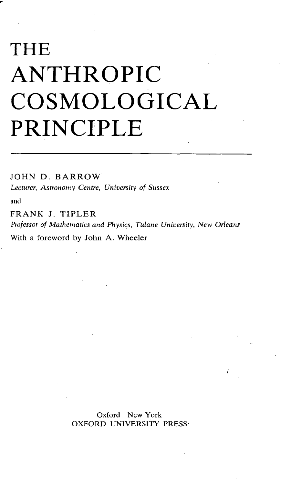## THE ANTHROPIC COSMOLOGICAL PRINCIPLE

JOHN D. BARROW *Lecturer, Astronomy Centre, University of Sussex*

and

FRANK J. TIPLER *Professor of Mathematics and Physics, Tulane University, New Orleans* With a foreword by John A. Wheeler

> Oxford New York OXFORD UNIVERSITY PRESS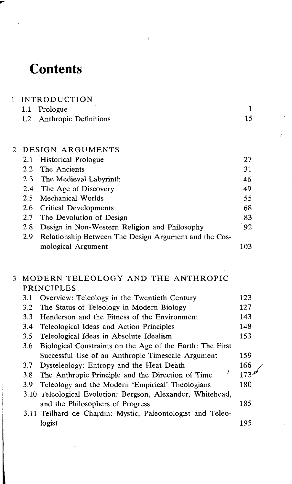## **Contents**

| 1 INTRODUCTION             |            |  |
|----------------------------|------------|--|
| 1.1 Prologue               |            |  |
| 1.2 Anthropic Definitions  | 15         |  |
|                            |            |  |
|                            |            |  |
| 2 DESIGN ARGUMENTS         |            |  |
| 2.1 Historical Prologue    | 27         |  |
| 2.2 The Ancients           | 31         |  |
| 2.3 The Medieval Labyrinth | 46         |  |
| $24$ The Asset Discovery   | $\sqrt{2}$ |  |

Ţ

| 2.4 The Age of Discovery                                  | 49  |
|-----------------------------------------------------------|-----|
| 2.5 Mechanical Worlds                                     | 55  |
| 2.6 Critical Developments                                 | 68  |
| 2.7 The Devolution of Design                              | 83  |
| 2.8 Design in Non-Western Religion and Philosophy         | 92  |
| 2.9 Relationship Between The Design Argument and the Cos- |     |
| mological Argument                                        | 103 |

## MODERN TELEOLOGY AND THE ANTHROPIC PRINCIPLES

| 3.1 | Overview: Teleology in the Twentieth Century                | 123 |
|-----|-------------------------------------------------------------|-----|
| 3.2 | The Status of Teleology in Modern Biology                   | 127 |
| 3.3 | Henderson and the Fitness of the Environment                | 143 |
| 3.4 | Teleological Ideas and Action Principles                    | 148 |
| 3.5 | Teleological Ideas in Absolute Idealism                     | 153 |
| 3.6 | Biological Constraints on the Age of the Earth: The First   |     |
|     | Successful Use of an Anthropic Timescale Argument           | 159 |
| 3.7 | Dysteleology: Entropy and the Heat Death                    | 166 |
| 3.8 | The Anthropic Principle and the Direction of Time           | 173 |
| 3.9 | Teleology and the Modern 'Empirical' Theologians            | 180 |
|     | 3.10 Teleological Evolution: Bergson, Alexander, Whitehead, |     |
|     | and the Philosophers of Progress                            | 185 |
|     | 3.11 Teilhard de Chardin: Mystic, Paleontologist and Teleo- |     |
|     | logist                                                      | 195 |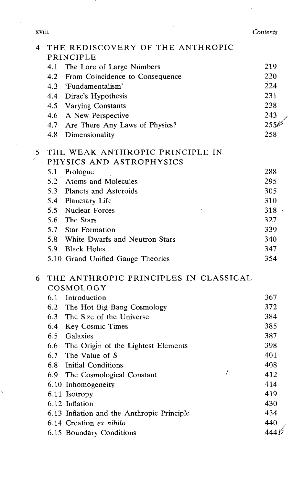| Contents |  |  |
|----------|--|--|
|----------|--|--|

**'J /**

|   | <b>XVIII</b>                                  | Contents |
|---|-----------------------------------------------|----------|
| 4 | THE REDISCOVERY OF THE ANTHROPIC<br>PRINCIPLE |          |
|   | 4.1 The Lore of Large Numbers                 | 219      |
|   | 4.2<br>From Coincidence to Consequence        | 220      |
|   | 4.3<br>'Fundamentalism'                       | 224      |
|   | 4.4 Dirac's Hypothesis                        | 231      |
|   | 4.5 Varying Constants                         | 238      |
|   | 4.6<br>A New Perspective                      | 243      |
|   | 4.7<br>Are There Any Laws of Physics?         | $255\%$  |
|   | 4.8<br>Dimensionality                         | 258      |
| 5 | THE WEAK ANTHROPIC PRINCIPLE IN               |          |
|   | PHYSICS AND ASTROPHYSICS                      |          |
|   | 5.1 Prologue                                  | 288      |
|   | 5.2 Atoms and Molecules                       | 295      |
|   | 5.3 Planets and Asteroids                     | 305      |
|   | 5.4 Planetary Life                            | 310      |
|   | 5.5 Nuclear Forces                            | 318      |
|   | 5.6 The Stars                                 | 327      |
|   | 5.7<br><b>Star Formation</b>                  | 339      |
|   | 5.8<br>White Dwarfs and Neutron Stars         | 340      |
|   | 5.9 Black Holes                               | 347      |
|   | 5.10 Grand Unified Gauge Theories             | 354      |
| 6 | THE ANTHROPIC PRINCIPLES IN CLASSICAL         |          |
|   | COSMOLOGY                                     |          |
|   | 6.1 Introduction                              | 367      |
|   | 6.2 The Hot Big Bang Cosmology                | 372      |
|   | 6.3<br>The Size of the Universe               | 384      |
|   | 6.4<br><b>Key Cosmic Times</b>                | 385      |
|   | 6.5<br>Galaxies                               | 387      |
|   | 6.6 The Origin of the Lightest Elements       | 398      |
|   | 6.7<br>The Value of S                         | 401      |
|   | 6.8<br>Initial Conditions                     | 408      |
|   | 1<br>6.9 The Cosmological Constant            | 412      |
|   | 6.10 Inhomogeneity                            | 414      |

 $\ddotsc$ 

6.13 Inflation and the Anthropic Principle  $434$ <br>6.14 Creation *ex nihilo*  $440$ 6.14 Creation *ex nihilo* 440<br>6.15 Boundary Conditions 444  $\cancel{0}$ 

6.11 Isotropy 419 6.12 Inflation 430

6.15 Boundary Conditions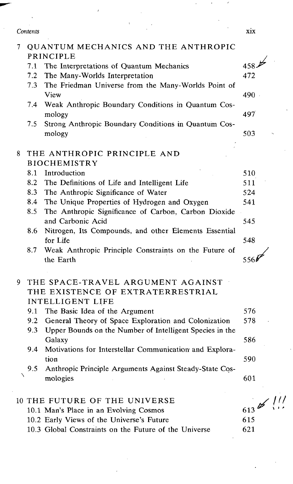## *Contents* xix

 $\overline{1}$ 

ï

| 7 | QUANTUM MECHANICS AND THE ANTHROPIC<br>PRINCIPLE |                                                                                     |                                   |  |
|---|--------------------------------------------------|-------------------------------------------------------------------------------------|-----------------------------------|--|
|   | 7.1                                              | The Interpretations of Quantum Mechanics                                            | 458                               |  |
|   | 7.2                                              | The Many-Worlds Interpretation                                                      | 472                               |  |
|   | 7.3                                              | The Friedman Universe from the Many-Worlds Point of                                 |                                   |  |
|   |                                                  | View                                                                                | 490                               |  |
|   | 7.4                                              | Weak Anthropic Boundary Conditions in Quantum Cos-                                  |                                   |  |
|   |                                                  | mology                                                                              | 497                               |  |
|   | 7.5                                              | Strong Anthropic Boundary Conditions in Quantum Cos-                                |                                   |  |
|   |                                                  | mology                                                                              | 503                               |  |
|   |                                                  |                                                                                     |                                   |  |
| 8 |                                                  | THE ANTHROPIC PRINCIPLE AND                                                         |                                   |  |
|   |                                                  | <b>BIOCHEMISTRY</b>                                                                 |                                   |  |
|   | 8.1                                              | Introduction                                                                        | 510                               |  |
|   | 8.2                                              | The Definitions of Life and Intelligent Life                                        | 511                               |  |
|   | 8.3                                              | The Anthropic Significance of Water                                                 | 524                               |  |
|   | 8.4                                              | The Unique Properties of Hydrogen and Oxygen                                        | 541                               |  |
|   | 8.5                                              | The Anthropic Significance of Carbon, Carbon Dioxide                                |                                   |  |
|   |                                                  | and Carbonic Acid                                                                   | 545                               |  |
|   | 8.6                                              | Nitrogen, Its Compounds, and other Elements Essential                               |                                   |  |
|   |                                                  | for Life                                                                            | 548                               |  |
|   | 8.7                                              | Weak Anthropic Principle Constraints on the Future of<br>the Earth                  | 556                               |  |
|   |                                                  |                                                                                     |                                   |  |
| 9 |                                                  | THE SPACE-TRAVEL ARGUMENT AGAINST                                                   |                                   |  |
|   |                                                  | THE EXISTENCE OF EXTRATERRESTRIAL                                                   |                                   |  |
|   |                                                  | INTELLIGENT LIFE                                                                    |                                   |  |
|   | 9.1                                              | The Basic Idea of the Argument                                                      | 576                               |  |
|   | 9.2                                              | General Theory of Space Exploration and Colonization                                | 578                               |  |
|   | 9.3                                              | Upper Bounds on the Number of Intelligent Species in the                            |                                   |  |
|   |                                                  | Galaxy                                                                              | 586                               |  |
|   | 9.4                                              | Motivations for Interstellar Communication and Explora-                             |                                   |  |
|   |                                                  | tion                                                                                | 590                               |  |
|   | 9.5                                              | Anthropic Principle Arguments Against Steady-State Cos-                             |                                   |  |
|   |                                                  | mologies                                                                            | 601                               |  |
|   |                                                  |                                                                                     |                                   |  |
|   |                                                  | 10 THE FUTURE OF THE UNIVERSE                                                       | $\frac{1}{2}$<br>613 $\cancel{p}$ |  |
|   |                                                  | 10.1 Man's Place in an Evolving Cosmos<br>10.2 Early Views of the Universe's Future | 615                               |  |
|   |                                                  | 10.3 Global Constraints on the Future of the Universe                               | 621                               |  |
|   |                                                  |                                                                                     |                                   |  |